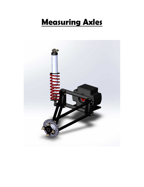## **Measuring Axles**

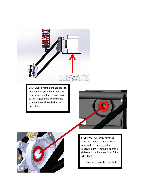

**STEP ONE:** First thing that needs to be done is to get the end you are measuring elevated. This gets you to the largest angle and distance your vehicle will need when in operation.





**STEP TWO:** Once you have the item elevated and the old axle is removed you need to get a measurement from the face of the differential to the inner face of the wheel hub.

(Illustrated in red in the photos)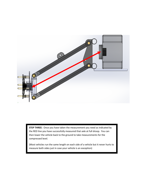

**STEP THREE:** Once you have taken the measurement you need as indicated by the RED line you have successfully measured that axle at full droop. You can then lower the vehicle back to the ground to take measurements for the compressed level.

(Most vehicles run the same length on each side of a vehicle but it never hurts to measure both sides just in case your vehicle is an exception)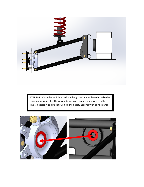

**STEP FIVE:** Once the vehicle is back on the ground you will need to take the same measurements. The reason being to get your compressed length. This is necessary to give your vehicle the best functionality at performance.

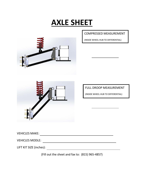## **AXLE SHEET**



COMPRESSED MEASUREMENT

(INSIDE WHEEL HUB TO DIFFERENTIAL)

FULL DROOP MEASUREMENT

(INSIDE WHEEL HUB TO DIFFERENTIAL)

VEHICLES MAKE:

| <b>VEHICLES MODLE:</b> |  |
|------------------------|--|
|------------------------|--|

LIFT KIT SIZE (inches):

(Fill out the sheet and fax to: (815) 965-4857)